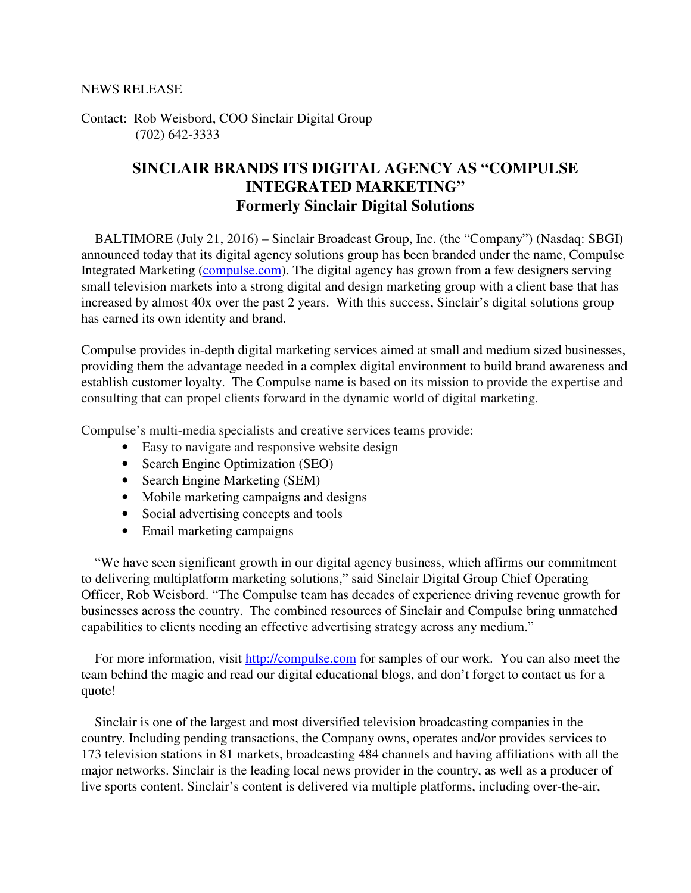Contact: Rob Weisbord, COO Sinclair Digital Group (702) 642-3333

## **SINCLAIR BRANDS ITS DIGITAL AGENCY AS "COMPULSE INTEGRATED MARKETING" Formerly Sinclair Digital Solutions**

 BALTIMORE (July 21, 2016) – Sinclair Broadcast Group, Inc. (the "Company") (Nasdaq: SBGI) announced today that its digital agency solutions group has been branded under the name, Compulse Integrated Marketing (compulse.com). The digital agency has grown from a few designers serving small television markets into a strong digital and design marketing group with a client base that has increased by almost 40x over the past 2 years. With this success, Sinclair's digital solutions group has earned its own identity and brand.

Compulse provides in-depth digital marketing services aimed at small and medium sized businesses, providing them the advantage needed in a complex digital environment to build brand awareness and establish customer loyalty. The Compulse name is based on its mission to provide the expertise and consulting that can propel clients forward in the dynamic world of digital marketing.

Compulse's multi-media specialists and creative services teams provide:

- Easy to navigate and responsive website design
- Search Engine Optimization (SEO)
- Search Engine Marketing (SEM)
- Mobile marketing campaigns and designs
- Social advertising concepts and tools
- Email marketing campaigns

 "We have seen significant growth in our digital agency business, which affirms our commitment to delivering multiplatform marketing solutions," said Sinclair Digital Group Chief Operating Officer, Rob Weisbord. "The Compulse team has decades of experience driving revenue growth for businesses across the country. The combined resources of Sinclair and Compulse bring unmatched capabilities to clients needing an effective advertising strategy across any medium."

 For more information, visit http://compulse.com for samples of our work. You can also meet the team behind the magic and read our digital educational blogs, and don't forget to contact us for a quote!

 Sinclair is one of the largest and most diversified television broadcasting companies in the country. Including pending transactions, the Company owns, operates and/or provides services to 173 television stations in 81 markets, broadcasting 484 channels and having affiliations with all the major networks. Sinclair is the leading local news provider in the country, as well as a producer of live sports content. Sinclair's content is delivered via multiple platforms, including over-the-air,